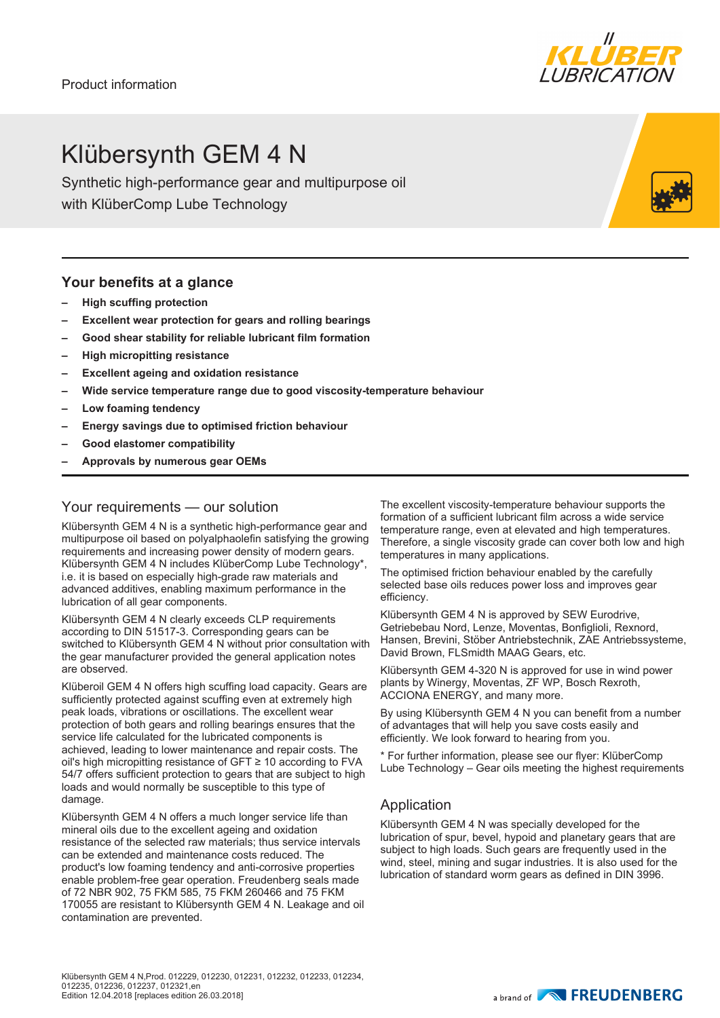## Klübersynth GEM 4 N

Synthetic high-performance gear and multipurpose oil with KlüberComp Lube Technology

#### **Your benefits at a glance**

- **– High scuffing protection**
- **– Excellent wear protection for gears and rolling bearings**
- **– Good shear stability for reliable lubricant film formation**
- **– High micropitting resistance**
- **– Excellent ageing and oxidation resistance**
- **– Wide service temperature range due to good viscosity-temperature behaviour**
- **– Low foaming tendency**
- **– Energy savings due to optimised friction behaviour**
- **– Good elastomer compatibility**
- **– Approvals by numerous gear OEMs**

#### Your requirements — our solution

Klübersynth GEM 4 N is a synthetic high-performance gear and multipurpose oil based on polyalphaolefin satisfying the growing requirements and increasing power density of modern gears. Klübersynth GEM 4 N includes KlüberComp Lube Technology\*, i.e. it is based on especially high-grade raw materials and advanced additives, enabling maximum performance in the lubrication of all gear components.

Klübersynth GEM 4 N clearly exceeds CLP requirements according to DIN 51517-3. Corresponding gears can be switched to Klübersynth GEM 4 N without prior consultation with the gear manufacturer provided the general application notes are observed.

Klüberoil GEM 4 N offers high scuffing load capacity. Gears are sufficiently protected against scuffing even at extremely high peak loads, vibrations or oscillations. The excellent wear protection of both gears and rolling bearings ensures that the service life calculated for the lubricated components is achieved, leading to lower maintenance and repair costs. The oil's high micropitting resistance of GFT ≥ 10 according to FVA 54/7 offers sufficient protection to gears that are subject to high loads and would normally be susceptible to this type of damage.

Klübersynth GEM 4 N offers a much longer service life than mineral oils due to the excellent ageing and oxidation resistance of the selected raw materials; thus service intervals can be extended and maintenance costs reduced. The product's low foaming tendency and anti-corrosive properties enable problem-free gear operation. Freudenberg seals made of 72 NBR 902, 75 FKM 585, 75 FKM 260466 and 75 FKM 170055 are resistant to Klübersynth GEM 4 N. Leakage and oil contamination are prevented.

The excellent viscosity-temperature behaviour supports the formation of a sufficient lubricant film across a wide service temperature range, even at elevated and high temperatures. Therefore, a single viscosity grade can cover both low and high temperatures in many applications.

The optimised friction behaviour enabled by the carefully selected base oils reduces power loss and improves gear efficiency.

Klübersynth GEM 4 N is approved by SEW Eurodrive, Getriebebau Nord, Lenze, Moventas, Bonfiglioli, Rexnord, Hansen, Brevini, Stöber Antriebstechnik, ZAE Antriebssysteme, David Brown, FLSmidth MAAG Gears, etc.

Klübersynth GEM 4-320 N is approved for use in wind power plants by Winergy, Moventas, ZF WP, Bosch Rexroth, ACCIONA ENERGY, and many more.

By using Klübersynth GEM 4 N you can benefit from a number of advantages that will help you save costs easily and efficiently. We look forward to hearing from you.

\* For further information, please see our flyer: KlüberComp Lube Technology – Gear oils meeting the highest requirements

#### Application

Klübersynth GEM 4 N was specially developed for the lubrication of spur, bevel, hypoid and planetary gears that are subject to high loads. Such gears are frequently used in the wind, steel, mining and sugar industries. It is also used for the lubrication of standard worm gears as defined in DIN 3996.





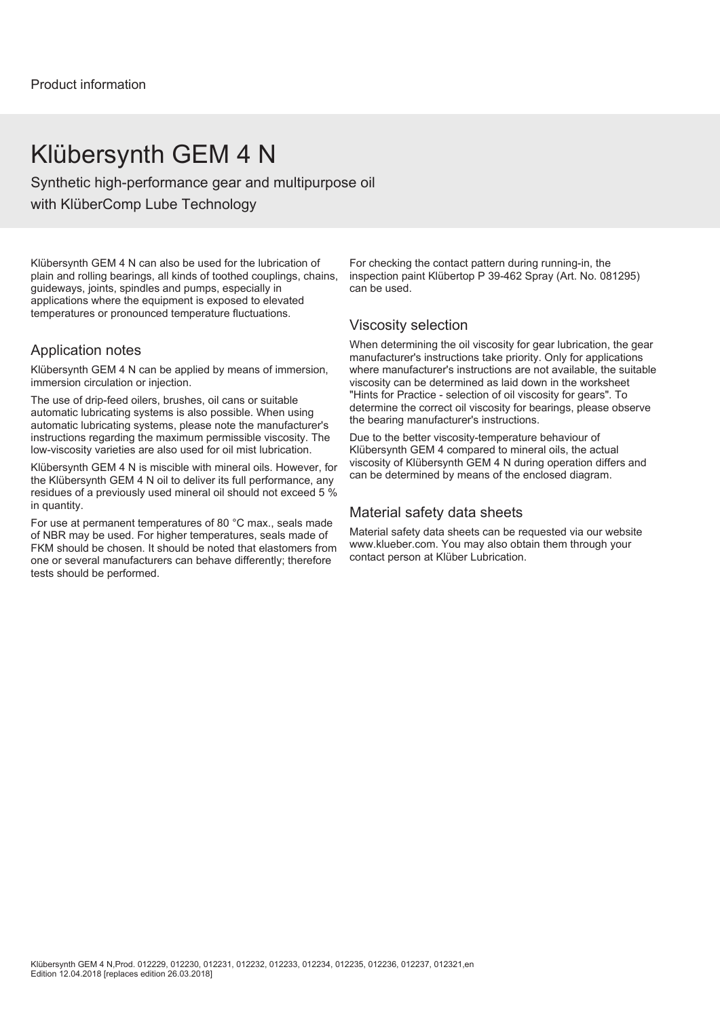### Klübersynth GEM 4 N

Synthetic high-performance gear and multipurpose oil with KlüberComp Lube Technology

Klübersynth GEM 4 N can also be used for the lubrication of plain and rolling bearings, all kinds of toothed couplings, chains, guideways, joints, spindles and pumps, especially in applications where the equipment is exposed to elevated temperatures or pronounced temperature fluctuations.

#### Application notes

Klübersynth GEM 4 N can be applied by means of immersion, immersion circulation or injection.

The use of drip-feed oilers, brushes, oil cans or suitable automatic lubricating systems is also possible. When using automatic lubricating systems, please note the manufacturer's instructions regarding the maximum permissible viscosity. The low-viscosity varieties are also used for oil mist lubrication.

Klübersynth GEM 4 N is miscible with mineral oils. However, for the Klübersynth GEM 4 N oil to deliver its full performance, any residues of a previously used mineral oil should not exceed 5 % in quantity.

For use at permanent temperatures of 80 °C max., seals made of NBR may be used. For higher temperatures, seals made of FKM should be chosen. It should be noted that elastomers from one or several manufacturers can behave differently; therefore tests should be performed.

For checking the contact pattern during running-in, the inspection paint Klübertop P 39-462 Spray (Art. No. 081295) can be used.

#### Viscosity selection

When determining the oil viscosity for gear lubrication, the gear manufacturer's instructions take priority. Only for applications where manufacturer's instructions are not available, the suitable viscosity can be determined as laid down in the worksheet "Hints for Practice - selection of oil viscosity for gears". To determine the correct oil viscosity for bearings, please observe the bearing manufacturer's instructions.

Due to the better viscosity-temperature behaviour of Klübersynth GEM 4 compared to mineral oils, the actual viscosity of Klübersynth GEM 4 N during operation differs and can be determined by means of the enclosed diagram.

#### Material safety data sheets

Material safety data sheets can be requested via our website www.klueber.com. You may also obtain them through your contact person at Klüber Lubrication.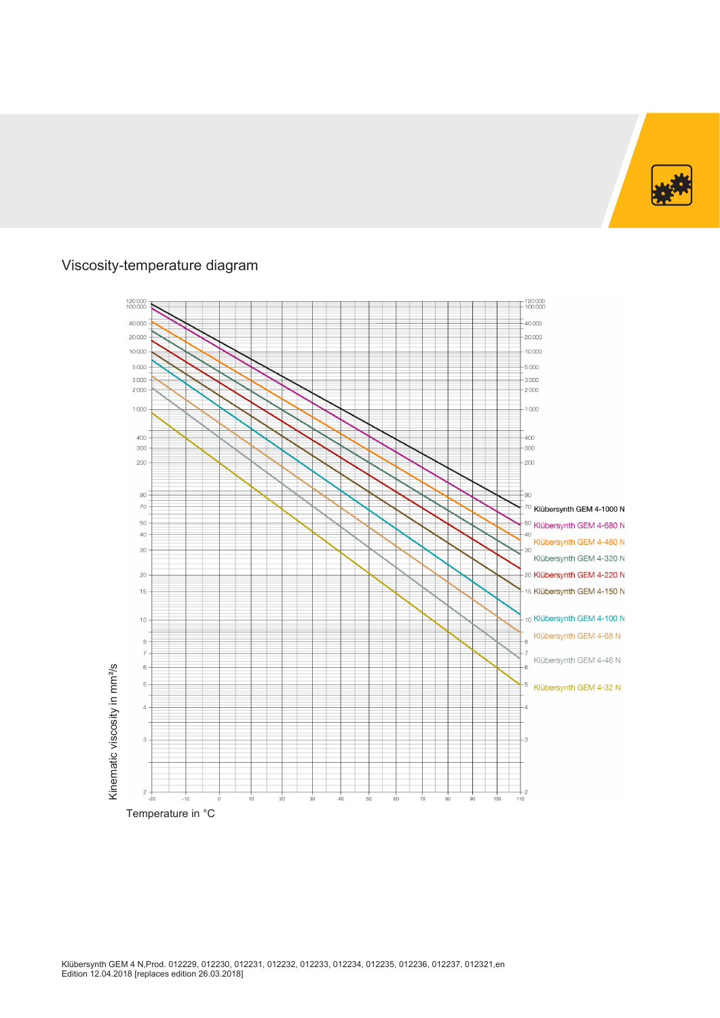

### Viscosity-temperature diagram

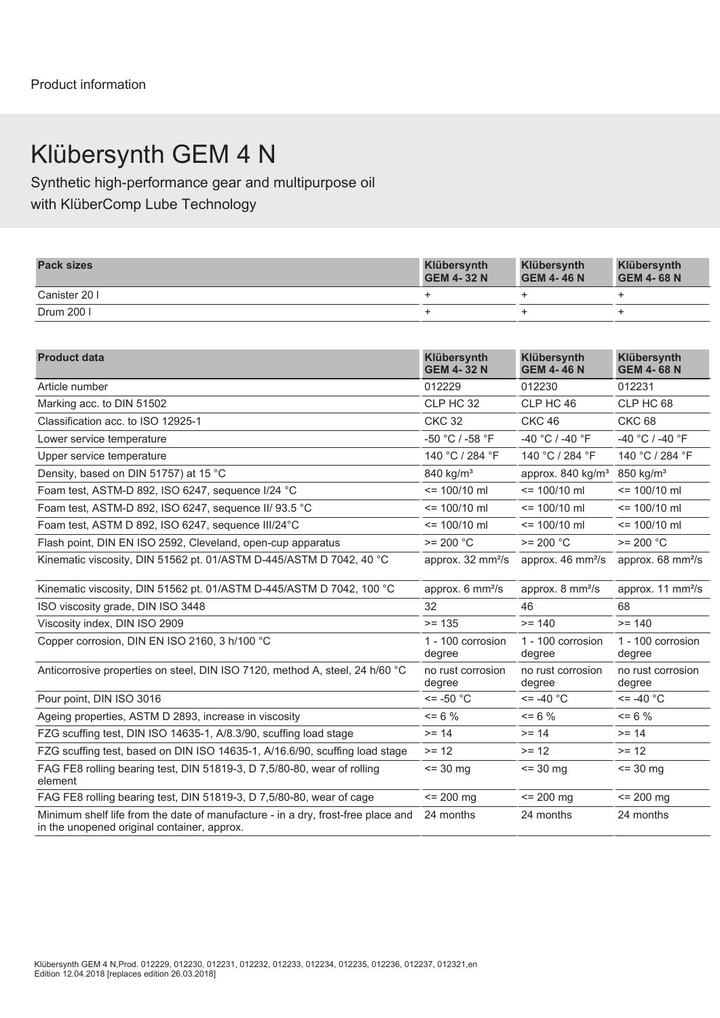# Klübersynth GEM 4 N

Synthetic high-performance gear and multipurpose oil with KlüberComp Lube Technology

| <b>Pack sizes</b> | Klübersynth<br><b>GEM 4-32 N</b> | Klübersynth<br><b>GEM 4-46 N</b> | Klübersynth<br><b>GEM 4-68 N</b> |
|-------------------|----------------------------------|----------------------------------|----------------------------------|
| Canister 201      |                                  |                                  |                                  |
| Drum 200 l        |                                  |                                  |                                  |

| <b>Product data</b>                                                                                                             | Klübersynth<br><b>GEM 4-32 N</b> | Klübersynth<br><b>GEM 4-46 N</b>                    | Klübersynth<br><b>GEM 4-68 N</b> |
|---------------------------------------------------------------------------------------------------------------------------------|----------------------------------|-----------------------------------------------------|----------------------------------|
| Article number                                                                                                                  | 012229                           | 012230                                              | 012231                           |
| Marking acc. to DIN 51502                                                                                                       | CLP HC 32                        | CLP HC 46                                           | CLP HC 68                        |
| Classification acc. to ISO 12925-1                                                                                              | <b>CKC 32</b>                    | <b>CKC 46</b>                                       | <b>CKC 68</b>                    |
| Lower service temperature                                                                                                       | -50 °C / -58 °F                  | -40 °C / -40 °F                                     | -40 °C / -40 °F                  |
| Upper service temperature                                                                                                       | 140 °C / 284 °F                  | 140 °C / 284 °F                                     | 140 °C / 284 °F                  |
| Density, based on DIN 51757) at 15 °C                                                                                           | 840 kg/m <sup>3</sup>            | approx. 840 kg/m <sup>3</sup> 850 kg/m <sup>3</sup> |                                  |
| Foam test, ASTM-D 892, ISO 6247, sequence I/24 °C                                                                               | $= 100/10$ ml                    | $= 100/10$ ml                                       | $= 100/10$ ml                    |
| Foam test, ASTM-D 892, ISO 6247, sequence II/ 93.5 °C                                                                           | $= 100/10$ ml                    | $= 100/10$ ml                                       | $= 100/10$ ml                    |
| Foam test, ASTM D 892, ISO 6247, sequence III/24°C                                                                              | $= 100/10$ ml                    | $= 100/10$ ml                                       | $= 100/10$ ml                    |
| Flash point, DIN EN ISO 2592, Cleveland, open-cup apparatus                                                                     | $>= 200 °C$                      | $>= 200 °C$                                         | $>= 200 °C$                      |
| Kinematic viscosity, DIN 51562 pt. 01/ASTM D-445/ASTM D 7042, 40 °C                                                             | approx. 32 mm <sup>2</sup> /s    | approx. 46 mm <sup>2</sup> /s                       | approx. 68 mm <sup>2</sup> /s    |
| Kinematic viscosity, DIN 51562 pt. 01/ASTM D-445/ASTM D 7042, 100 °C                                                            | approx. 6 mm <sup>2</sup> /s     | approx. 8 mm <sup>2</sup> /s                        | approx. 11 mm <sup>2</sup> /s    |
| ISO viscosity grade, DIN ISO 3448                                                                                               | 32                               | 46                                                  | 68                               |
| Viscosity index, DIN ISO 2909                                                                                                   | $>= 135$                         | $>= 140$                                            | $>= 140$                         |
| Copper corrosion, DIN EN ISO 2160, 3 h/100 °C                                                                                   | 1 - 100 corrosion<br>degree      | 1 - 100 corrosion<br>degree                         | 1 - 100 corrosion<br>degree      |
| Anticorrosive properties on steel, DIN ISO 7120, method A, steel, 24 h/60 °C                                                    | no rust corrosion<br>degree      | no rust corrosion<br>degree                         | no rust corrosion<br>degree      |
| Pour point. DIN ISO 3016                                                                                                        | $\le$ = -50 $^{\circ}$ C         | $\le$ = -40 $^{\circ}$ C                            | $\le$ = -40 $^{\circ}$ C         |
| Ageing properties, ASTM D 2893, increase in viscosity                                                                           | $= 6 \%$                         | $= 6 \%$                                            | $= 6 \%$                         |
| FZG scuffing test, DIN ISO 14635-1, A/8.3/90, scuffing load stage                                                               | $>= 14$                          | $>= 14$                                             | $>= 14$                          |
| FZG scuffing test, based on DIN ISO 14635-1, A/16.6/90, scuffing load stage                                                     | $>= 12$                          | $>= 12$                                             | $>= 12$                          |
| FAG FE8 rolling bearing test, DIN 51819-3, D 7,5/80-80, wear of rolling<br>element                                              | $= 30$ mg                        | $\le$ 30 mg                                         | $= 30$ mg                        |
| FAG FE8 rolling bearing test, DIN 51819-3, D 7,5/80-80, wear of cage                                                            | $= 200$ mg                       | $= 200$ mg                                          | $= 200$ mg                       |
| Minimum shelf life from the date of manufacture - in a dry, frost-free place and<br>in the unopened original container, approx. | 24 months                        | 24 months                                           | 24 months                        |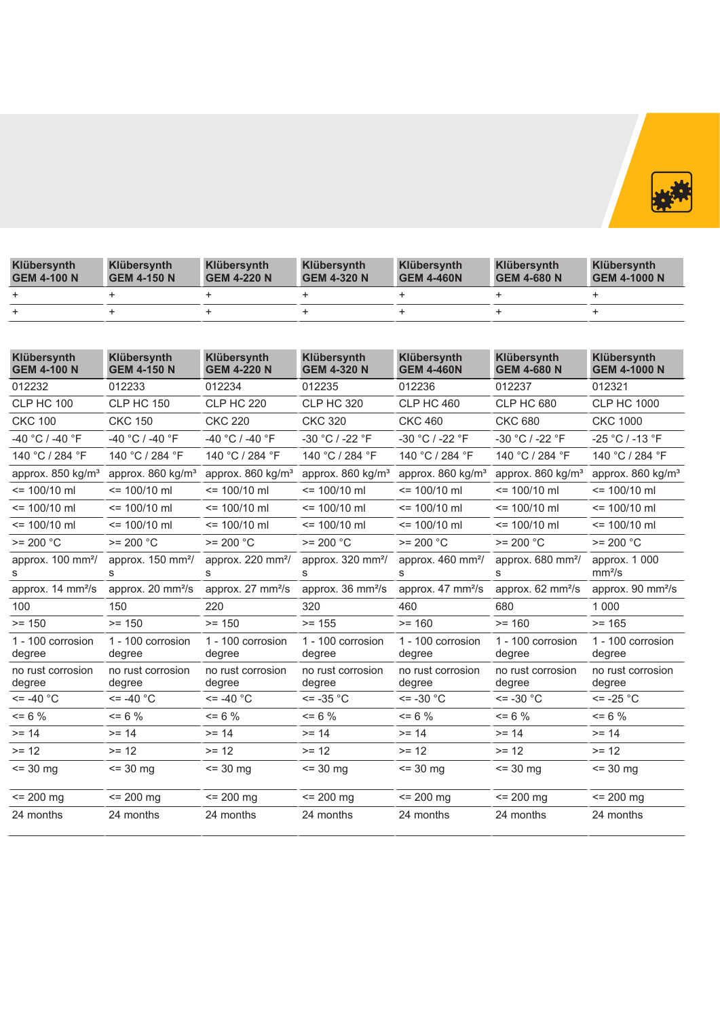

| Klübersynth<br><b>GEM 4-100 N</b> | Klübersynth<br><b>GEM 4-150 N</b> | <b>Klübersynth</b><br><b>GEM 4-220 N</b> | Klübersynth<br><b>GEM 4-320 N</b> | Klübersynth<br><b>GEM 4-460N</b> | <b>Klübersynth</b><br><b>GEM 4-680 N</b> | Klübersynth<br><b>GEM 4-1000 N</b> |
|-----------------------------------|-----------------------------------|------------------------------------------|-----------------------------------|----------------------------------|------------------------------------------|------------------------------------|
|                                   |                                   |                                          |                                   |                                  |                                          |                                    |
|                                   |                                   |                                          |                                   |                                  |                                          |                                    |

| Klübersynth<br><b>GEM 4-100 N</b>                           | Klübersynth<br><b>GEM 4-150 N</b> | Klübersynth<br><b>GEM 4-220 N</b> | Klübersynth<br><b>GEM 4-320 N</b>                           | Klübersynth<br><b>GEM 4-460N</b> | Klübersynth<br><b>GEM 4-680 N</b>  | <b>Klübersynth</b><br><b>GEM 4-1000 N</b> |
|-------------------------------------------------------------|-----------------------------------|-----------------------------------|-------------------------------------------------------------|----------------------------------|------------------------------------|-------------------------------------------|
| 012232                                                      | 012233                            | 012234                            | 012235                                                      | 012236                           | 012237                             | 012321                                    |
| <b>CLP HC 100</b>                                           | <b>CLP HC 150</b>                 | <b>CLP HC 220</b>                 | <b>CLP HC 320</b>                                           | <b>CLP HC 460</b>                | <b>CLP HC 680</b>                  | <b>CLP HC 1000</b>                        |
| <b>CKC 100</b>                                              | <b>CKC 150</b>                    | <b>CKC 220</b>                    | <b>CKC 320</b>                                              | <b>CKC 460</b>                   | <b>CKC 680</b>                     | <b>CKC 1000</b>                           |
| -40 °C / -40 °F                                             | -40 °C / -40 °F                   | -40 °C / -40 °F                   | -30 °C / -22 °F                                             | -30 °C / -22 °F                  | -30 °C / -22 °F                    | $-25 °C / -13 °F$                         |
| 140 °C / 284 °F                                             | 140 °C / 284 °F                   | 140 °C / 284 °F                   | 140 °C / 284 °F                                             | 140 °C / 284 °F                  | 140 °C / 284 °F                    | 140 °C / 284 °F                           |
| approx. 850 kg/m <sup>3</sup>                               | approx. 860 kg/m <sup>3</sup>     | approx. 860 kg/m <sup>3</sup>     | approx. 860 kg/m <sup>3</sup>                               | approx. 860 kg/m <sup>3</sup>    | approx. 860 kg/m <sup>3</sup>      | approx. 860 kg/m <sup>3</sup>             |
| $\le$ 100/10 ml                                             | $= 100/10$ ml                     | $= 100/10$ ml                     | $= 100/10$ ml                                               | $= 100/10$ ml                    | $\le$ 100/10 ml                    | $= 100/10$ ml                             |
| $\le$ 100/10 ml                                             | $= 100/10$ ml                     | $\le$ 100/10 ml                   | $= 100/10$ ml                                               | $= 100/10$ ml                    | $\le$ 100/10 ml                    | $= 100/10$ ml                             |
| $= 100/10$ ml                                               | $\le$ 100/10 ml                   | $\le$ 100/10 ml                   | $= 100/10$ ml                                               | $= 100/10$ ml                    | $\le$ 100/10 ml                    | $= 100/10$ ml                             |
| $>= 200 °C$                                                 | $>= 200 °C$                       | $>= 200 °C$                       | $>= 200 °C$                                                 | $>= 200 °C$                      | $>= 200 °C$                        | $>= 200 °C$                               |
| approx. 100 mm <sup>2</sup> /                               | approx. 150 mm <sup>2</sup> /     | approx. 220 mm <sup>2</sup> /     | approx. 320 mm <sup>2</sup> /                               | approx. $460 \text{ mm}^2$       | approx. 680 mm <sup>2</sup> /      | approx. 1 000<br>mm <sup>2</sup> /s       |
| approx. 14 mm <sup>2</sup> /s approx. 20 mm <sup>2</sup> /s |                                   | approx. 27 mm <sup>2</sup> /s     | approx. 36 mm <sup>2</sup> /s approx. 47 mm <sup>2</sup> /s |                                  | approx. $62 \text{ mm}^2\text{/s}$ | approx. 90 mm <sup>2</sup> /s             |
| 100                                                         | 150                               | 220                               | 320                                                         | 460                              | 680                                | 1 0 0 0                                   |
| $>= 150$                                                    | $>= 150$                          | $>= 150$                          | $>= 155$                                                    | $>= 160$                         | $>= 160$                           | $>= 165$                                  |
| 1 - 100 corrosion<br>degree                                 | 1 - 100 corrosion<br>degree       | 1 - 100 corrosion<br>degree       | 1 - 100 corrosion<br>degree                                 | 1 - 100 corrosion<br>degree      | 1 - 100 corrosion<br>degree        | 1 - 100 corrosion<br>degree               |
| no rust corrosion<br>degree                                 | no rust corrosion<br>degree       | no rust corrosion<br>degree       | no rust corrosion<br>degree                                 | no rust corrosion<br>degree      | no rust corrosion<br>degree        | no rust corrosion<br>degree               |
| $\le$ = -40 $^{\circ}$ C                                    | $\le$ = -40 $^{\circ}$ C          | $\epsilon$ = -40 °C               | $\le$ = -35 °C                                              | $\le$ = -30 $^{\circ}$ C         | $\le$ = -30 $^{\circ}$ C           | $\le$ = -25 $^{\circ}$ C                  |
| $= 6 \%$                                                    | $\leq$ 6 %                        | $\leq$ 6 %                        | $= 6 \%$                                                    | $= 6 \%$                         | $\leq$ 6 %                         | $= 6 \%$                                  |
| $>= 14$                                                     | $>= 14$                           | $>= 14$                           | $>= 14$                                                     | $>= 14$                          | $>= 14$                            | $>= 14$                                   |
| $>= 12$                                                     | $>= 12$                           | $>= 12$                           | $>= 12$                                                     | $>= 12$                          | $>= 12$                            | $>= 12$                                   |
| $\le$ 30 mg                                                 | $\le$ 30 mg                       | $\le$ 30 mg                       | $= 30 \text{ ma}$                                           | $= 30$ mg                        | $\le$ 30 mg                        | $= 30$ mg                                 |
| $= 200$ mg                                                  | $\le$ 200 mg                      | $\le$ 200 mg                      | $= 200$ mg                                                  | $= 200$ mg                       | $\le$ 200 mg                       | $= 200$ mg                                |
| 24 months                                                   | 24 months                         | 24 months                         | 24 months                                                   | 24 months                        | 24 months                          | 24 months                                 |